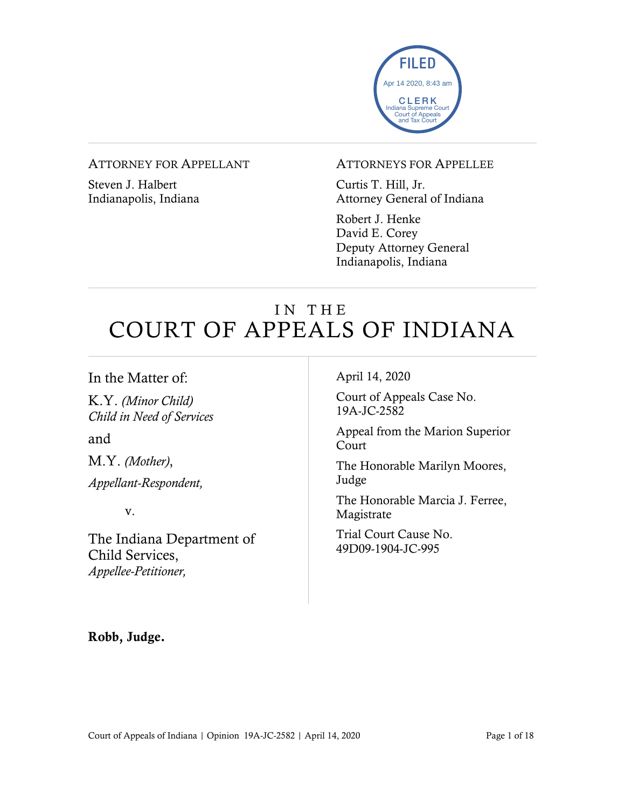

#### ATTORNEY FOR APPELLANT

Steven J. Halbert Indianapolis, Indiana

#### ATTORNEYS FOR APPELLEE

Curtis T. Hill, Jr. Attorney General of Indiana

Robert J. Henke David E. Corey Deputy Attorney General Indianapolis, Indiana

# IN THE COURT OF APPEALS OF INDIANA

#### In the Matter of:

K.Y. *(Minor Child) Child in Need of Services*

and

M.Y. *(Mother)*,

*Appellant-Respondent,*

v.

The Indiana Department of Child Services, *Appellee-Petitioner,*

April 14, 2020

Court of Appeals Case No. 19A-JC-2582

Appeal from the Marion Superior Court

The Honorable Marilyn Moores, Judge

The Honorable Marcia J. Ferree, Magistrate

Trial Court Cause No. 49D09-1904-JC-995

Robb, Judge.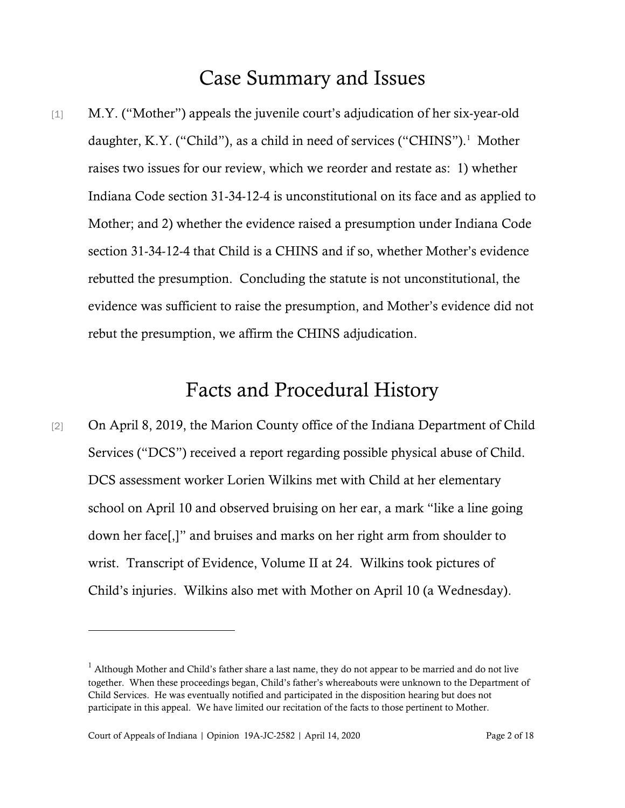## Case Summary and Issues

[1] M.Y. ("Mother") appeals the juvenile court's adjudication of her six-year-old daughter, K.Y. ("Child"), as a child in need of services ("CHINS").<sup>1</sup> Mother raises two issues for our review, which we reorder and restate as: 1) whether Indiana Code section 31-34-12-4 is unconstitutional on its face and as applied to Mother; and 2) whether the evidence raised a presumption under Indiana Code section 31-34-12-4 that Child is a CHINS and if so, whether Mother's evidence rebutted the presumption. Concluding the statute is not unconstitutional, the evidence was sufficient to raise the presumption, and Mother's evidence did not rebut the presumption, we affirm the CHINS adjudication.

## Facts and Procedural History

[2] On April 8, 2019, the Marion County office of the Indiana Department of Child Services ("DCS") received a report regarding possible physical abuse of Child. DCS assessment worker Lorien Wilkins met with Child at her elementary school on April 10 and observed bruising on her ear, a mark "like a line going down her face[,]" and bruises and marks on her right arm from shoulder to wrist. Transcript of Evidence, Volume II at 24. Wilkins took pictures of Child's injuries. Wilkins also met with Mother on April 10 (a Wednesday).

 $1$  Although Mother and Child's father share a last name, they do not appear to be married and do not live together. When these proceedings began, Child's father's whereabouts were unknown to the Department of Child Services. He was eventually notified and participated in the disposition hearing but does not participate in this appeal. We have limited our recitation of the facts to those pertinent to Mother.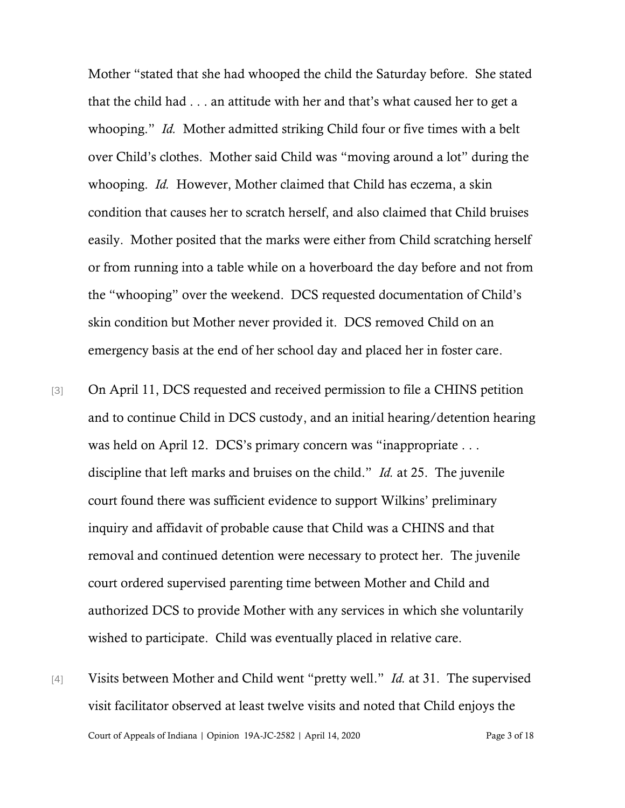Mother "stated that she had whooped the child the Saturday before. She stated that the child had . . . an attitude with her and that's what caused her to get a whooping." *Id.* Mother admitted striking Child four or five times with a belt over Child's clothes. Mother said Child was "moving around a lot" during the whooping. *Id.* However, Mother claimed that Child has eczema, a skin condition that causes her to scratch herself, and also claimed that Child bruises easily. Mother posited that the marks were either from Child scratching herself or from running into a table while on a hoverboard the day before and not from the "whooping" over the weekend. DCS requested documentation of Child's skin condition but Mother never provided it. DCS removed Child on an emergency basis at the end of her school day and placed her in foster care.

- [3] On April 11, DCS requested and received permission to file a CHINS petition and to continue Child in DCS custody, and an initial hearing/detention hearing was held on April 12. DCS's primary concern was "inappropriate . . . discipline that left marks and bruises on the child." *Id.* at 25. The juvenile court found there was sufficient evidence to support Wilkins' preliminary inquiry and affidavit of probable cause that Child was a CHINS and that removal and continued detention were necessary to protect her. The juvenile court ordered supervised parenting time between Mother and Child and authorized DCS to provide Mother with any services in which she voluntarily wished to participate. Child was eventually placed in relative care.
- Court of Appeals of Indiana | Opinion 19A-JC-2582 | April 14, 2020 Page 3 of 18 [4] Visits between Mother and Child went "pretty well." *Id.* at 31. The supervised visit facilitator observed at least twelve visits and noted that Child enjoys the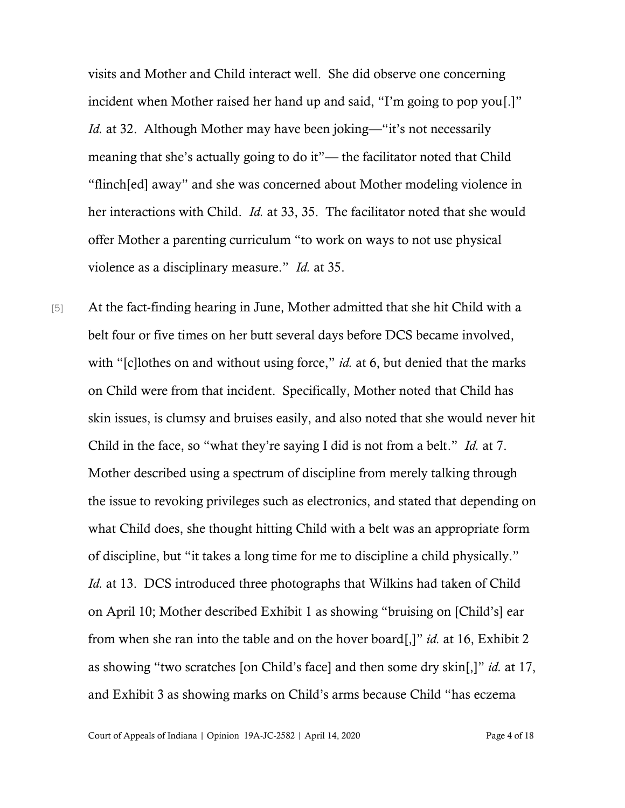visits and Mother and Child interact well. She did observe one concerning incident when Mother raised her hand up and said, "I'm going to pop you[.]" *Id.* at 32. Although Mother may have been joking—"it's not necessarily meaning that she's actually going to do it"— the facilitator noted that Child "flinch[ed] away" and she was concerned about Mother modeling violence in her interactions with Child. *Id.* at 33, 35. The facilitator noted that she would offer Mother a parenting curriculum "to work on ways to not use physical violence as a disciplinary measure." *Id.* at 35.

[5] At the fact-finding hearing in June, Mother admitted that she hit Child with a belt four or five times on her butt several days before DCS became involved, with "[c]lothes on and without using force," *id.* at 6, but denied that the marks on Child were from that incident. Specifically, Mother noted that Child has skin issues, is clumsy and bruises easily, and also noted that she would never hit Child in the face, so "what they're saying I did is not from a belt." *Id.* at 7. Mother described using a spectrum of discipline from merely talking through the issue to revoking privileges such as electronics, and stated that depending on what Child does, she thought hitting Child with a belt was an appropriate form of discipline, but "it takes a long time for me to discipline a child physically." *Id.* at 13. DCS introduced three photographs that Wilkins had taken of Child on April 10; Mother described Exhibit 1 as showing "bruising on [Child's] ear from when she ran into the table and on the hover board[,]" *id.* at 16, Exhibit 2 as showing "two scratches [on Child's face] and then some dry skin[,]" *id.* at 17, and Exhibit 3 as showing marks on Child's arms because Child "has eczema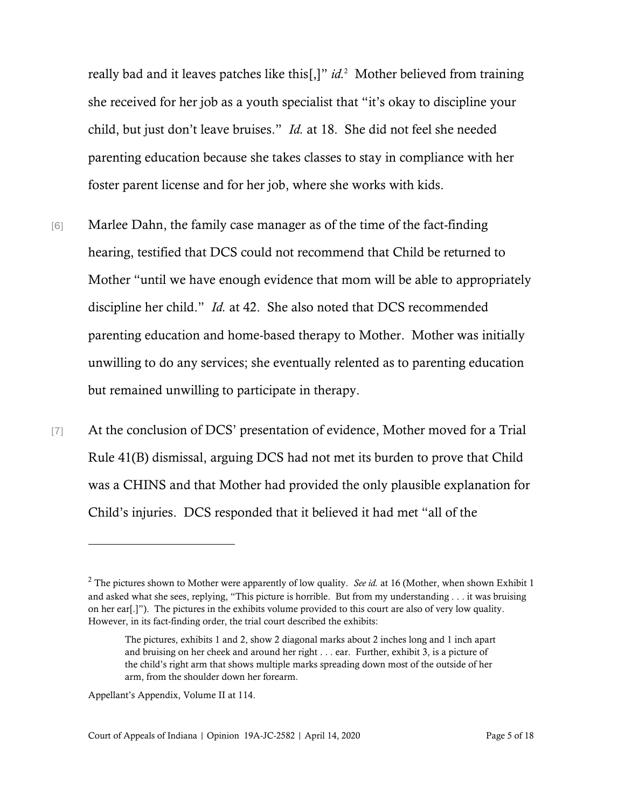really bad and it leaves patches like this[,]" *id.*<sup>2</sup> Mother believed from training she received for her job as a youth specialist that "it's okay to discipline your child, but just don't leave bruises." *Id.* at 18. She did not feel she needed parenting education because she takes classes to stay in compliance with her foster parent license and for her job, where she works with kids.

- [6] Marlee Dahn, the family case manager as of the time of the fact-finding hearing, testified that DCS could not recommend that Child be returned to Mother "until we have enough evidence that mom will be able to appropriately discipline her child." *Id.* at 42. She also noted that DCS recommended parenting education and home-based therapy to Mother. Mother was initially unwilling to do any services; she eventually relented as to parenting education but remained unwilling to participate in therapy.
- [7] At the conclusion of DCS' presentation of evidence, Mother moved for a Trial Rule 41(B) dismissal, arguing DCS had not met its burden to prove that Child was a CHINS and that Mother had provided the only plausible explanation for Child's injuries. DCS responded that it believed it had met "all of the

<sup>&</sup>lt;sup>2</sup> The pictures shown to Mother were apparently of low quality. *See id.* at 16 (Mother, when shown Exhibit 1 and asked what she sees, replying, "This picture is horrible. But from my understanding . . . it was bruising on her ear[.]"). The pictures in the exhibits volume provided to this court are also of very low quality. However, in its fact-finding order, the trial court described the exhibits:

The pictures, exhibits 1 and 2, show 2 diagonal marks about 2 inches long and 1 inch apart and bruising on her cheek and around her right . . . ear. Further, exhibit 3, is a picture of the child's right arm that shows multiple marks spreading down most of the outside of her arm, from the shoulder down her forearm.

Appellant's Appendix, Volume II at 114.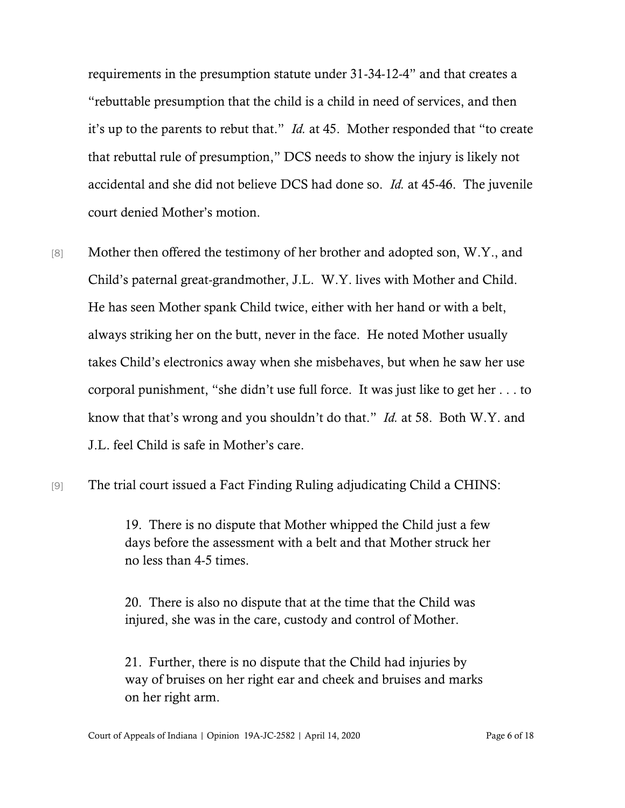requirements in the presumption statute under 31-34-12-4" and that creates a "rebuttable presumption that the child is a child in need of services, and then it's up to the parents to rebut that." *Id.* at 45. Mother responded that "to create that rebuttal rule of presumption," DCS needs to show the injury is likely not accidental and she did not believe DCS had done so. *Id.* at 45-46. The juvenile court denied Mother's motion.

- [8] Mother then offered the testimony of her brother and adopted son, W.Y., and Child's paternal great-grandmother, J.L. W.Y. lives with Mother and Child. He has seen Mother spank Child twice, either with her hand or with a belt, always striking her on the butt, never in the face. He noted Mother usually takes Child's electronics away when she misbehaves, but when he saw her use corporal punishment, "she didn't use full force. It was just like to get her . . . to know that that's wrong and you shouldn't do that." *Id.* at 58. Both W.Y. and J.L. feel Child is safe in Mother's care.
- [9] The trial court issued a Fact Finding Ruling adjudicating Child a CHINS:

19. There is no dispute that Mother whipped the Child just a few days before the assessment with a belt and that Mother struck her no less than 4-5 times.

20. There is also no dispute that at the time that the Child was injured, she was in the care, custody and control of Mother.

21. Further, there is no dispute that the Child had injuries by way of bruises on her right ear and cheek and bruises and marks on her right arm.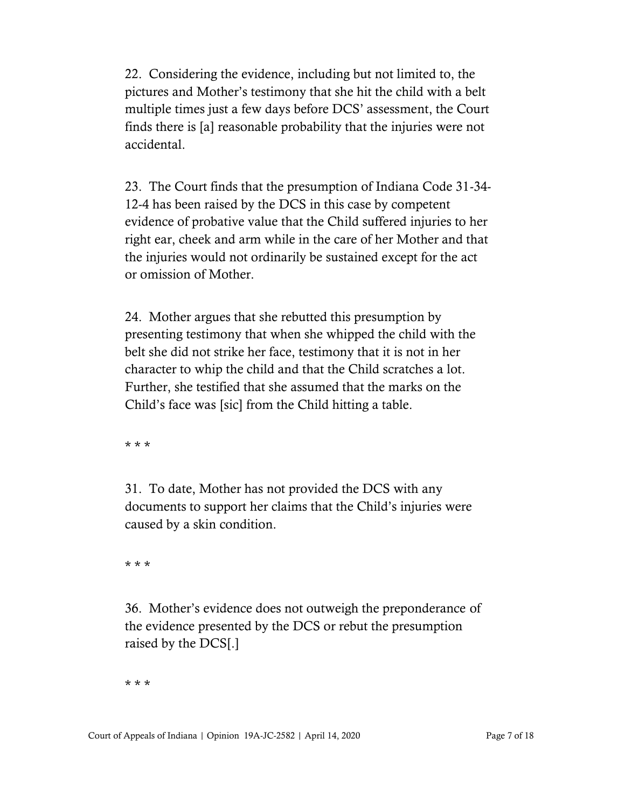22. Considering the evidence, including but not limited to, the pictures and Mother's testimony that she hit the child with a belt multiple times just a few days before DCS' assessment, the Court finds there is [a] reasonable probability that the injuries were not accidental.

23. The Court finds that the presumption of Indiana Code 31-34- 12-4 has been raised by the DCS in this case by competent evidence of probative value that the Child suffered injuries to her right ear, cheek and arm while in the care of her Mother and that the injuries would not ordinarily be sustained except for the act or omission of Mother.

24. Mother argues that she rebutted this presumption by presenting testimony that when she whipped the child with the belt she did not strike her face, testimony that it is not in her character to whip the child and that the Child scratches a lot. Further, she testified that she assumed that the marks on the Child's face was [sic] from the Child hitting a table.

\* \* \*

31. To date, Mother has not provided the DCS with any documents to support her claims that the Child's injuries were caused by a skin condition.

\* \* \*

36. Mother's evidence does not outweigh the preponderance of the evidence presented by the DCS or rebut the presumption raised by the DCS[.]

\* \* \*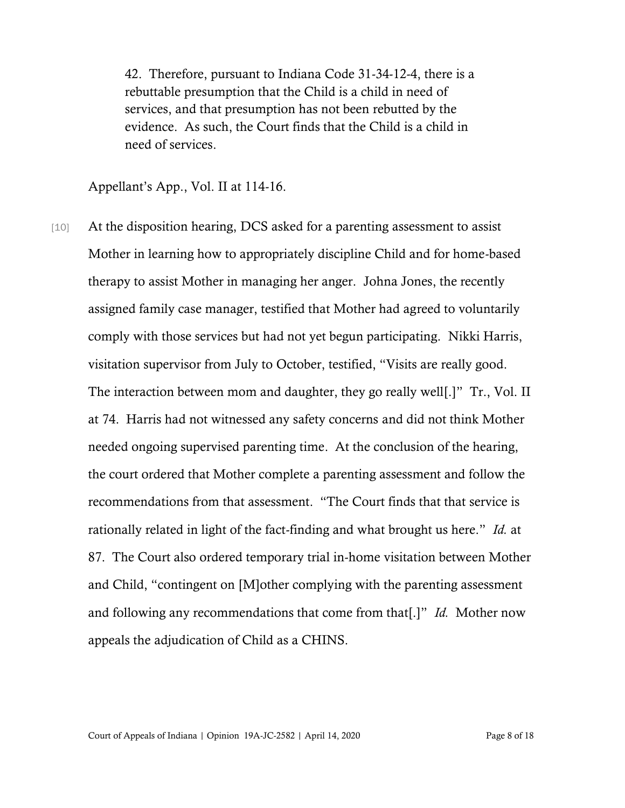42. Therefore, pursuant to Indiana Code 31-34-12-4, there is a rebuttable presumption that the Child is a child in need of services, and that presumption has not been rebutted by the evidence. As such, the Court finds that the Child is a child in need of services.

Appellant's App., Vol. II at 114-16.

[10] At the disposition hearing, DCS asked for a parenting assessment to assist Mother in learning how to appropriately discipline Child and for home-based therapy to assist Mother in managing her anger. Johna Jones, the recently assigned family case manager, testified that Mother had agreed to voluntarily comply with those services but had not yet begun participating. Nikki Harris, visitation supervisor from July to October, testified, "Visits are really good. The interaction between mom and daughter, they go really well[.]" Tr., Vol. II at 74. Harris had not witnessed any safety concerns and did not think Mother needed ongoing supervised parenting time. At the conclusion of the hearing, the court ordered that Mother complete a parenting assessment and follow the recommendations from that assessment. "The Court finds that that service is rationally related in light of the fact-finding and what brought us here." *Id.* at 87. The Court also ordered temporary trial in-home visitation between Mother and Child, "contingent on [M]other complying with the parenting assessment and following any recommendations that come from that[.]" *Id.* Mother now appeals the adjudication of Child as a CHINS.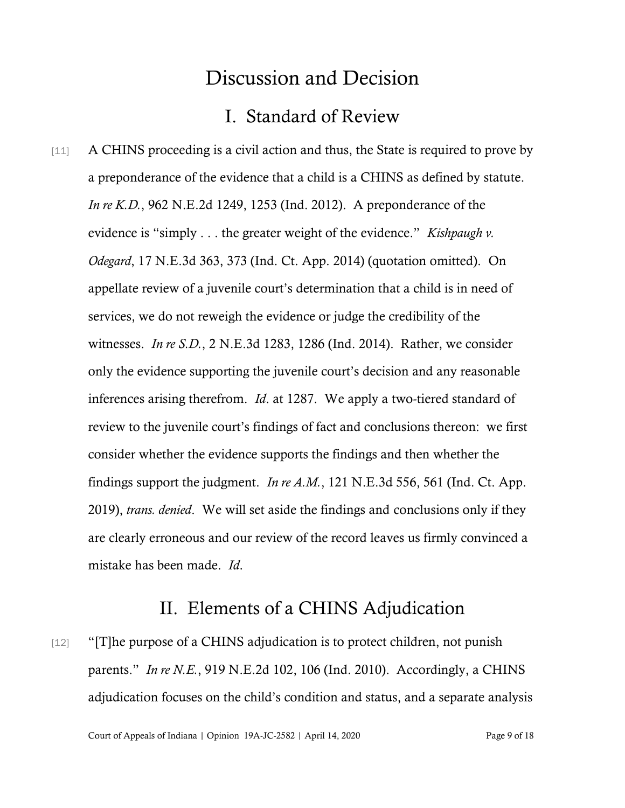## Discussion and Decision

### I. Standard of Review

[11] A CHINS proceeding is a civil action and thus, the State is required to prove by a preponderance of the evidence that a child is a CHINS as defined by statute. *In re K.D.*, 962 N.E.2d 1249, 1253 (Ind. 2012). A preponderance of the evidence is "simply . . . the greater weight of the evidence." *Kishpaugh v. Odegard*, 17 N.E.3d 363, 373 (Ind. Ct. App. 2014) (quotation omitted). On appellate review of a juvenile court's determination that a child is in need of services, we do not reweigh the evidence or judge the credibility of the witnesses. *In re S.D.*, 2 N.E.3d 1283, 1286 (Ind. 2014). Rather, we consider only the evidence supporting the juvenile court's decision and any reasonable inferences arising therefrom. *Id*. at 1287. We apply a two-tiered standard of review to the juvenile court's findings of fact and conclusions thereon: we first consider whether the evidence supports the findings and then whether the findings support the judgment. *In re A.M.*, 121 N.E.3d 556, 561 (Ind. Ct. App. 2019), *trans. denied*. We will set aside the findings and conclusions only if they are clearly erroneous and our review of the record leaves us firmly convinced a mistake has been made. *Id*.

### II. Elements of a CHINS Adjudication

[12] "[T]he purpose of a CHINS adjudication is to protect children, not punish parents." *In re N.E.*, 919 N.E.2d 102, 106 (Ind. 2010). Accordingly, a CHINS adjudication focuses on the child's condition and status, and a separate analysis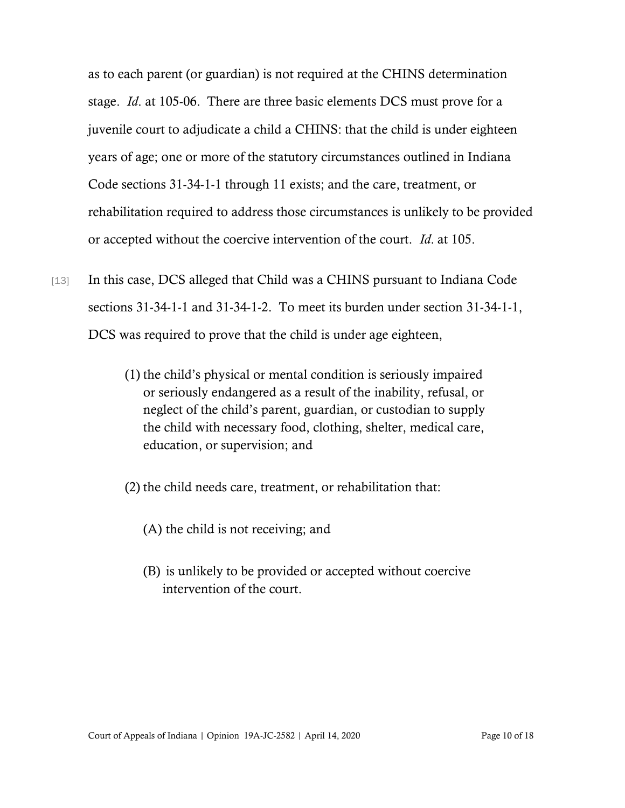as to each parent (or guardian) is not required at the CHINS determination stage. *Id*. at 105-06. There are three basic elements DCS must prove for a juvenile court to adjudicate a child a CHINS: that the child is under eighteen years of age; one or more of the statutory circumstances outlined in Indiana Code sections 31-34-1-1 through 11 exists; and the care, treatment, or rehabilitation required to address those circumstances is unlikely to be provided or accepted without the coercive intervention of the court. *Id*. at 105.

- [13] In this case, DCS alleged that Child was a CHINS pursuant to Indiana Code sections 31-34-1-1 and 31-34-1-2. To meet its burden under section 31-34-1-1, DCS was required to prove that the child is under age eighteen,
	- (1) the child's physical or mental condition is seriously impaired or seriously endangered as a result of the inability, refusal, or neglect of the child's parent, guardian, or custodian to supply the child with necessary food, clothing, shelter, medical care, education, or supervision; and
	- (2) the child needs care, treatment, or rehabilitation that:
		- (A) the child is not receiving; and
		- (B) is unlikely to be provided or accepted without coercive intervention of the court.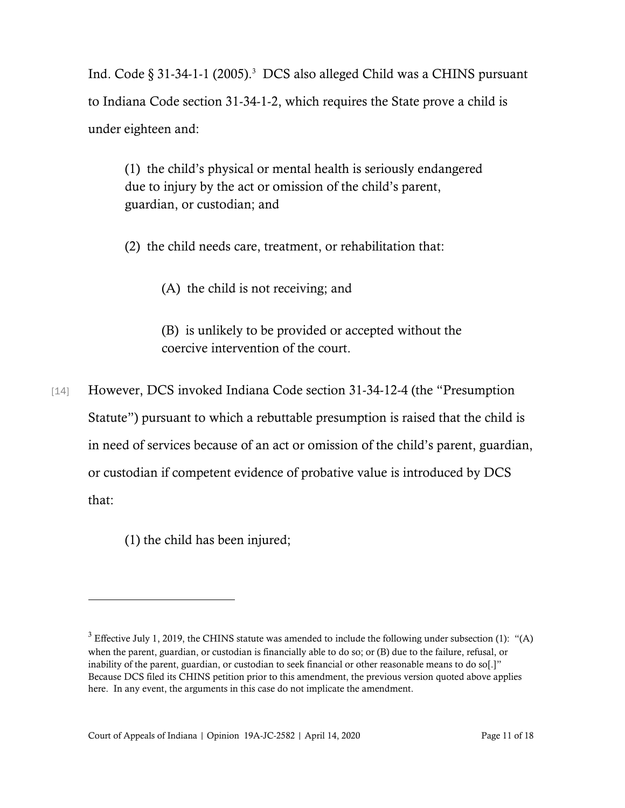Ind. Code § 31-34-1-1 (2005).<sup>3</sup> DCS also alleged Child was a CHINS pursuant to Indiana Code section 31-34-1-2, which requires the State prove a child is under eighteen and:

(1) the child's physical or mental health is seriously endangered due to injury by the act or omission of the child's parent, guardian, or custodian; and

(2) the child needs care, treatment, or rehabilitation that:

(A) the child is not receiving; and

(B) is unlikely to be provided or accepted without the coercive intervention of the court.

[14] However, DCS invoked Indiana Code section 31-34-12-4 (the "Presumption" Statute") pursuant to which a rebuttable presumption is raised that the child is in need of services because of an act or omission of the child's parent, guardian, or custodian if competent evidence of probative value is introduced by DCS that:

(1) the child has been injured;

 $3$  Effective July 1, 2019, the CHINS statute was amended to include the following under subsection (1): "(A) when the parent, guardian, or custodian is financially able to do so; or (B) due to the failure, refusal, or inability of the parent, guardian, or custodian to seek financial or other reasonable means to do so[.]" Because DCS filed its CHINS petition prior to this amendment, the previous version quoted above applies here. In any event, the arguments in this case do not implicate the amendment.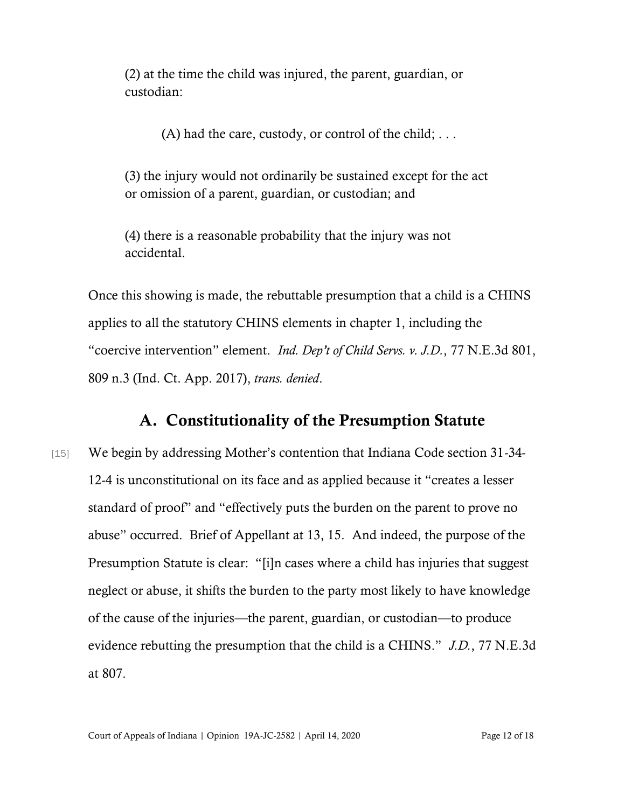(2) at the time the child was injured, the parent, guardian, or custodian:

(A) had the care, custody, or control of the child;  $\dots$ 

(3) the injury would not ordinarily be sustained except for the act or omission of a parent, guardian, or custodian; and

(4) there is a reasonable probability that the injury was not accidental.

Once this showing is made, the rebuttable presumption that a child is a CHINS applies to all the statutory CHINS elements in chapter 1, including the "coercive intervention" element. *Ind. Dep't of Child Servs. v. J.D.*, 77 N.E.3d 801, 809 n.3 (Ind. Ct. App. 2017), *trans. denied*.

### A. Constitutionality of the Presumption Statute

[15] We begin by addressing Mother's contention that Indiana Code section 31-34-12-4 is unconstitutional on its face and as applied because it "creates a lesser standard of proof" and "effectively puts the burden on the parent to prove no abuse" occurred. Brief of Appellant at 13, 15. And indeed, the purpose of the Presumption Statute is clear: "[i]n cases where a child has injuries that suggest neglect or abuse, it shifts the burden to the party most likely to have knowledge of the cause of the injuries—the parent, guardian, or custodian—to produce evidence rebutting the presumption that the child is a CHINS." *J.D.*, 77 N.E.3d at 807.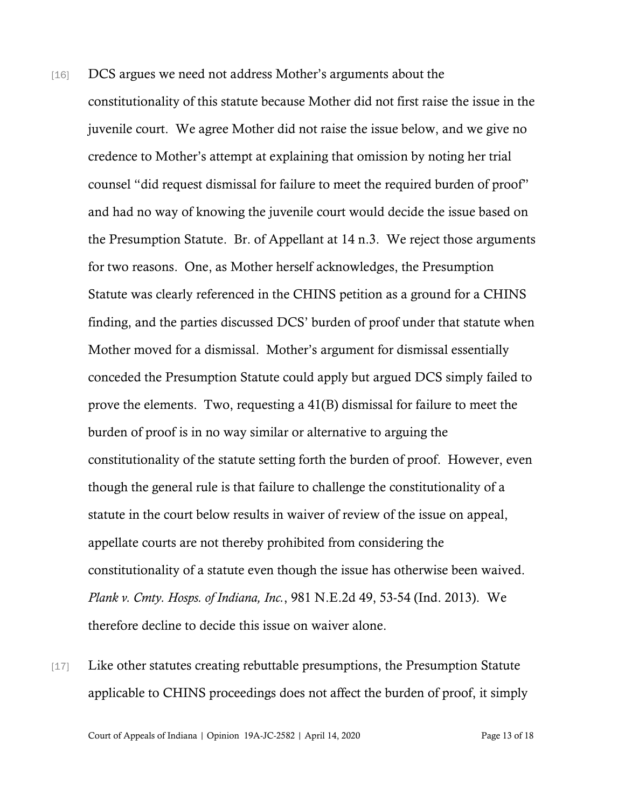- [16] DCS argues we need not address Mother's arguments about the constitutionality of this statute because Mother did not first raise the issue in the juvenile court. We agree Mother did not raise the issue below, and we give no credence to Mother's attempt at explaining that omission by noting her trial counsel "did request dismissal for failure to meet the required burden of proof" and had no way of knowing the juvenile court would decide the issue based on the Presumption Statute. Br. of Appellant at 14 n.3. We reject those arguments for two reasons. One, as Mother herself acknowledges, the Presumption Statute was clearly referenced in the CHINS petition as a ground for a CHINS finding, and the parties discussed DCS' burden of proof under that statute when Mother moved for a dismissal. Mother's argument for dismissal essentially conceded the Presumption Statute could apply but argued DCS simply failed to prove the elements. Two, requesting a 41(B) dismissal for failure to meet the burden of proof is in no way similar or alternative to arguing the constitutionality of the statute setting forth the burden of proof. However, even though the general rule is that failure to challenge the constitutionality of a statute in the court below results in waiver of review of the issue on appeal, appellate courts are not thereby prohibited from considering the constitutionality of a statute even though the issue has otherwise been waived. *Plank v. Cmty. Hosps. of Indiana, Inc.*, 981 N.E.2d 49, 53-54 (Ind. 2013). We therefore decline to decide this issue on waiver alone.
- [17] Like other statutes creating rebuttable presumptions, the Presumption Statute applicable to CHINS proceedings does not affect the burden of proof, it simply

Court of Appeals of Indiana | Opinion 19A-JC-2582 | April 14, 2020 Page 13 of 18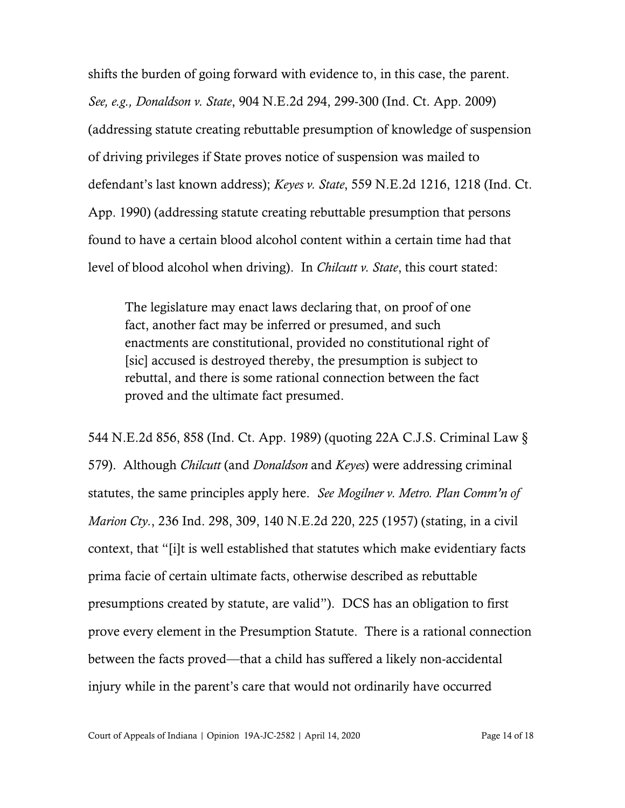shifts the burden of going forward with evidence to, in this case, the parent. *See, e.g., Donaldson v. State*, 904 N.E.2d 294, 299-300 (Ind. Ct. App. 2009) (addressing statute creating rebuttable presumption of knowledge of suspension of driving privileges if State proves notice of suspension was mailed to defendant's last known address); *Keyes v. State*, 559 N.E.2d 1216, 1218 (Ind. Ct. App. 1990) (addressing statute creating rebuttable presumption that persons found to have a certain blood alcohol content within a certain time had that level of blood alcohol when driving). In *Chilcutt v. State*, this court stated:

The legislature may enact laws declaring that, on proof of one fact, another fact may be inferred or presumed, and such enactments are constitutional, provided no constitutional right of [sic] accused is destroyed thereby, the presumption is subject to rebuttal, and there is some rational connection between the fact proved and the ultimate fact presumed.

544 N.E.2d 856, 858 (Ind. Ct. App. 1989) (quoting 22A C.J.S. Criminal Law § 579). Although *Chilcutt* (and *Donaldson* and *Keyes*) were addressing criminal statutes, the same principles apply here. *See Mogilner v. Metro. Plan Comm'n of Marion Cty.*, 236 Ind. 298, 309, 140 N.E.2d 220, 225 (1957) (stating, in a civil context, that "[i]t is well established that statutes which make evidentiary facts prima facie of certain ultimate facts, otherwise described as rebuttable presumptions created by statute, are valid"). DCS has an obligation to first prove every element in the Presumption Statute. There is a rational connection between the facts proved—that a child has suffered a likely non-accidental injury while in the parent's care that would not ordinarily have occurred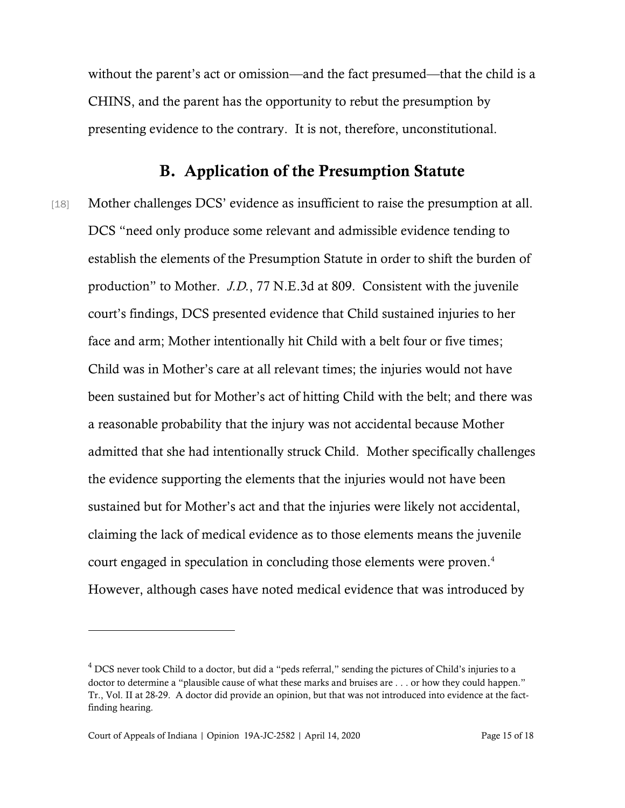without the parent's act or omission—and the fact presumed—that the child is a CHINS, and the parent has the opportunity to rebut the presumption by presenting evidence to the contrary. It is not, therefore, unconstitutional.

### B. Application of the Presumption Statute

[18] Mother challenges DCS' evidence as insufficient to raise the presumption at all. DCS "need only produce some relevant and admissible evidence tending to establish the elements of the Presumption Statute in order to shift the burden of production" to Mother. *J.D.*, 77 N.E.3d at 809. Consistent with the juvenile court's findings, DCS presented evidence that Child sustained injuries to her face and arm; Mother intentionally hit Child with a belt four or five times; Child was in Mother's care at all relevant times; the injuries would not have been sustained but for Mother's act of hitting Child with the belt; and there was a reasonable probability that the injury was not accidental because Mother admitted that she had intentionally struck Child. Mother specifically challenges the evidence supporting the elements that the injuries would not have been sustained but for Mother's act and that the injuries were likely not accidental, claiming the lack of medical evidence as to those elements means the juvenile court engaged in speculation in concluding those elements were proven.<sup>4</sup> However, although cases have noted medical evidence that was introduced by

 $4$  DCS never took Child to a doctor, but did a "peds referral," sending the pictures of Child's injuries to a doctor to determine a "plausible cause of what these marks and bruises are . . . or how they could happen." Tr., Vol. II at 28-29. A doctor did provide an opinion, but that was not introduced into evidence at the factfinding hearing.

Court of Appeals of Indiana | Opinion 19A-JC-2582 | April 14, 2020 Page 15 of 18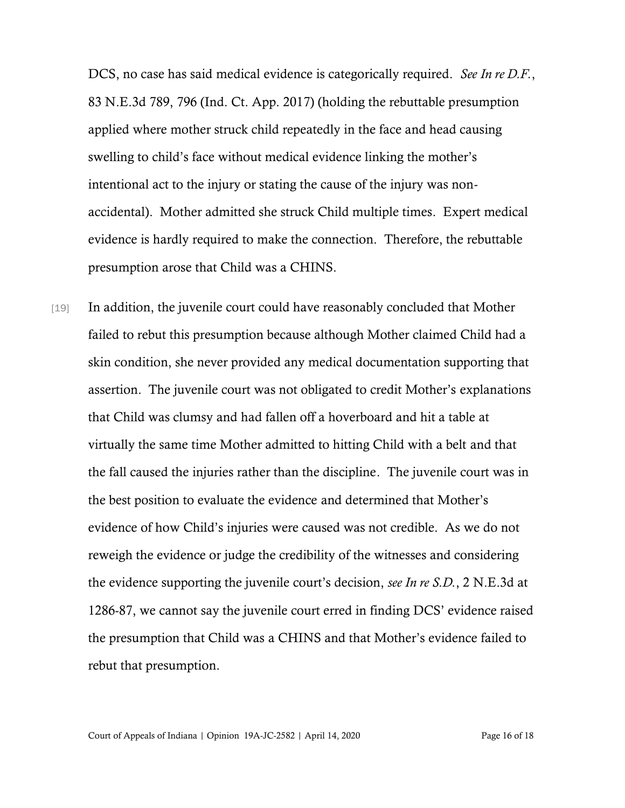DCS, no case has said medical evidence is categorically required. *See In re D.F.*, 83 N.E.3d 789, 796 (Ind. Ct. App. 2017) (holding the rebuttable presumption applied where mother struck child repeatedly in the face and head causing swelling to child's face without medical evidence linking the mother's intentional act to the injury or stating the cause of the injury was nonaccidental). Mother admitted she struck Child multiple times. Expert medical evidence is hardly required to make the connection. Therefore, the rebuttable presumption arose that Child was a CHINS.

[19] In addition, the juvenile court could have reasonably concluded that Mother failed to rebut this presumption because although Mother claimed Child had a skin condition, she never provided any medical documentation supporting that assertion. The juvenile court was not obligated to credit Mother's explanations that Child was clumsy and had fallen off a hoverboard and hit a table at virtually the same time Mother admitted to hitting Child with a belt and that the fall caused the injuries rather than the discipline. The juvenile court was in the best position to evaluate the evidence and determined that Mother's evidence of how Child's injuries were caused was not credible. As we do not reweigh the evidence or judge the credibility of the witnesses and considering the evidence supporting the juvenile court's decision, *see In re S.D.*, 2 N.E.3d at 1286-87, we cannot say the juvenile court erred in finding DCS' evidence raised the presumption that Child was a CHINS and that Mother's evidence failed to rebut that presumption.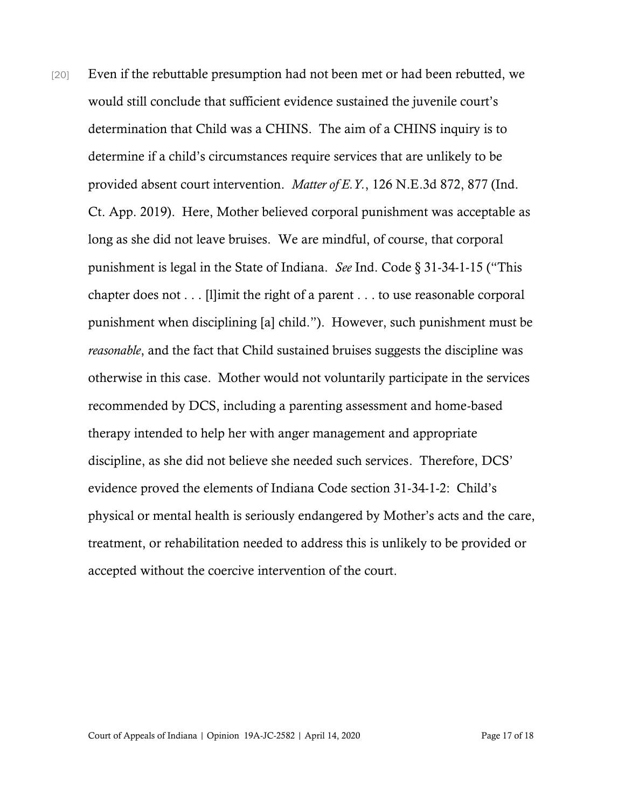[20] Even if the rebuttable presumption had not been met or had been rebutted, we would still conclude that sufficient evidence sustained the juvenile court's determination that Child was a CHINS. The aim of a CHINS inquiry is to determine if a child's circumstances require services that are unlikely to be provided absent court intervention. *Matter of E.Y.*, 126 N.E.3d 872, 877 (Ind. Ct. App. 2019). Here, Mother believed corporal punishment was acceptable as long as she did not leave bruises. We are mindful, of course, that corporal punishment is legal in the State of Indiana. *See* Ind. Code § 31-34-1-15 ("This chapter does not . . . [l]imit the right of a parent . . . to use reasonable corporal punishment when disciplining [a] child."). However, such punishment must be *reasonable*, and the fact that Child sustained bruises suggests the discipline was otherwise in this case. Mother would not voluntarily participate in the services recommended by DCS, including a parenting assessment and home-based therapy intended to help her with anger management and appropriate discipline, as she did not believe she needed such services. Therefore, DCS' evidence proved the elements of Indiana Code section 31-34-1-2: Child's physical or mental health is seriously endangered by Mother's acts and the care, treatment, or rehabilitation needed to address this is unlikely to be provided or accepted without the coercive intervention of the court.